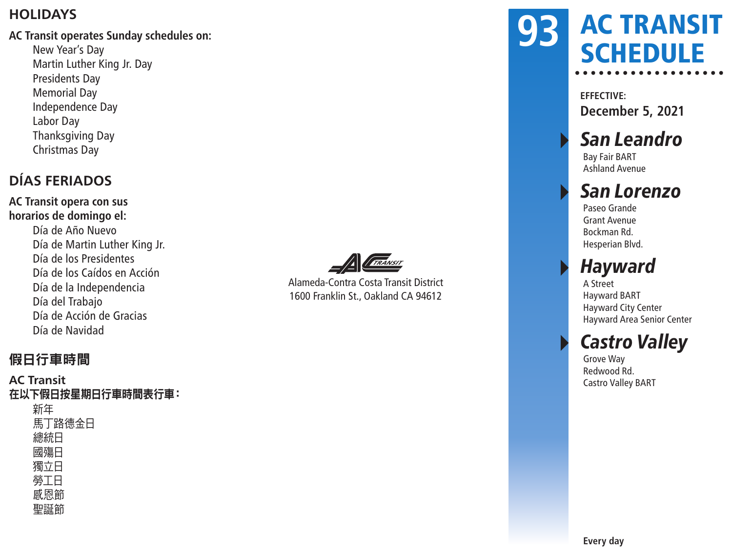#### **HOLIDAYS**

#### **AC Transit operates Sunday schedules on:**

New Year's Day Martin Luther King Jr. Day Presidents Day Memorial Day Independence Day Labor Day Thanksgiving Day Christmas Day

### **DÍAS FERIADOS**

**AC Transit opera con sus horarios de domingo el:** Día de Año Nuevo Día de Martin Luther King Jr. Día de los Presidentes Día de los Caídos en Acción Día de la Independencia Día del Trabajo Día de Acción de Gracias Día de Navidad



Alameda-Contra Costa Transit District 1600 Franklin St., Oakland CA 94612

### AC TRANSIT **SCHEDULE 93**

**EFFECTIVE: December 5, 2021**

### San Leandro

Bay Fair BART Ashland Avenue

### San Lorenzo

Paseo Grande Grant Avenue Bockman Rd. Hesperian Blvd.

### **Hayward**

A Street Hayward BART Hayward City Center Hayward Area Senior Center

### **Castro Valley**

Grove Way Redwood Rd. Castro Valley BART

### 假日行車時間

**AC Transit** 在以下假日按星期日行車時間表行車: 新年 馬丁路德金日 總統日 國殤日 獨立日 勞工日 感恩節 聖誕節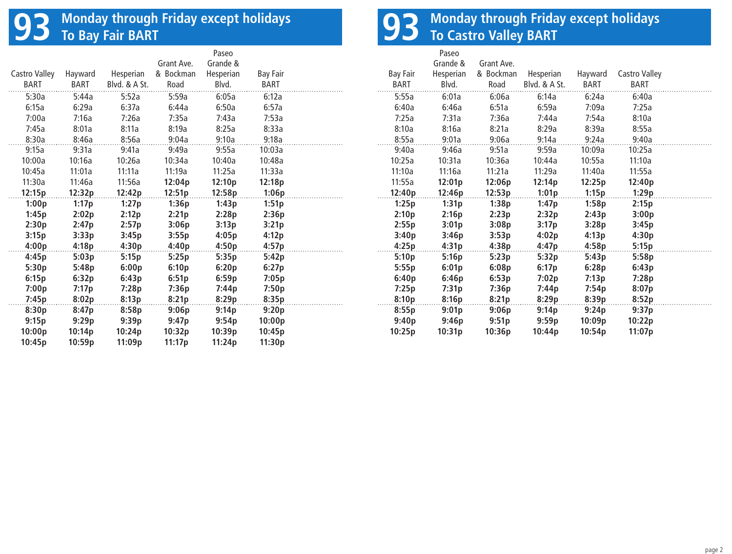## **93 Monday through Friday except holidays To Bay Fair BART**

| Castro Valley | Hayward     | Hesperian     | Grant Ave.<br>& Bockman | Paseo<br>Grande &<br>Hesperian | <b>Bay Fair</b> |  |
|---------------|-------------|---------------|-------------------------|--------------------------------|-----------------|--|
| <b>BART</b>   | <b>BART</b> | Blyd. & A St. | Road                    | Blvd.                          | BART            |  |
| 5:30a         | 5:44a       | 5:52a         | 5:59a                   | 6:05a                          | 6:12a           |  |
| 6:15a         | 6:29a       | 6:37a         | 6:44a                   | 6:50a                          | 6:57a           |  |
| 7:00a         | 7:16a       | 7:26a         | 7:35a                   | 7:43a                          | 7:53a           |  |
| 7:45a         | 8:01a       | 8:11a         | 8:19a                   | 8:25a                          | 8:33a           |  |
| 8:30a         | 8:46a       | 8:56a         | 9:04a                   | 9:10a                          | 9:18a           |  |
| 9:15a         | 9:31a       | 9:41a         | 9:49a                   | 9:55a                          | 10:03a          |  |
| 10:00a        | 10:16a      | 10:26a        | 10:34a                  | 10:40a                         | 10:48a          |  |
| 10:45a        | 11:01a      | 11:11a        | 11:19a                  | 11:25a                         | 11:33a          |  |
| 11:30a        | 11:46a      | 11:56a        | 12:04p                  | 12:10p                         | 12:18p          |  |
| 12:15p        | 12:32p      | 12:42p        | 12:51p                  | 12:58p                         | 1:06p           |  |
| 1:00p         | 1:17p       | 1:27p         | 1:36p                   | 1:43p                          | 1:51p           |  |
| 1:45p         | 2:02p       | 2:12p         | 2:21p                   | 2:28p                          | 2:36p           |  |
| 2:30p         | 2:47p       | 2:57p         | 3:06p                   | 3:13p                          | 3:21p           |  |
| 3:15p         | 3:33p       | 3:45p         | 3:55p                   | 4:05p                          | 4:12p           |  |
| 4:00p         | 4:18p       | 4:30p         | 4:40p                   | 4:50p                          | 4:57p           |  |
| 4:45p         | 5:03p       | 5:15p         | 5:25p                   | 5:35p                          | 5:42p           |  |
| 5:30p         | 5:48p       | 6:00p         | 6:10p                   | 6:20p                          | 6:27p           |  |
| 6:15p         | 6:32p       | 6:43p         | 6:51p                   | 6:59p                          | 7:05p           |  |
| 7:00p         | 7:17p       | 7:28p         | 7:36p                   | 7:44p                          | 7:50p           |  |
| 7:45p         | 8:02p       | 8:13p         | 8:21p                   | 8:29p                          | 8:35p           |  |
| 8:30p         | 8:47p       | 8:58p         | 9:06p                   | 9:14p                          | 9:20p           |  |
| 9:15p         | 9:29p       | 9:39p         | 9:47p                   | 9:54p                          | 10:00p          |  |
| 10:00p        | 10:14p      | 10:24p        | 10:32p                  | 10:39p                         | 10:45p          |  |
| 10:45p        | 10:59p      | 11:09p        | 11:17p                  | 11:24p                         | 11:30p          |  |

## **93 Monday through Friday except holidays To Castro Valley BART**

|          | Paseo<br>Grande &  | Grant Ave. |               |         |               |  |
|----------|--------------------|------------|---------------|---------|---------------|--|
| Bay Fair | Hesperian          | & Bockman  | Hesperian     | Hayward | Castro Valley |  |
| BART     | Blvd.              | Road       | Blvd. & A St. | BART    | BART          |  |
| 5:55a    | 6:01a              | 6:06a      | 6:14a         | 6:24a   | 6:40a         |  |
| 6:40a    | 6:46a              | 6:51a      | 6:59a         | 7:09a   | 7:25a         |  |
| 7:25a    | 7:31a              | 7:36a      | 7:44a         | 7:54a   | 8:10a         |  |
| 8:10a    | 8:16a              | 8:21a      | 8:29a         | 8:39a   | 8:55a         |  |
| 8:55a    | 9:01a              | 9:06a      | 9:14a         | 9:24a   | 9:40a         |  |
| 9:40a    | 9:46a              | 9:51a      | 9:59a         | 10:09a  | 10:25a        |  |
| 10:25a   | 10:31a             | 10:36a     | 10:44a        | 10:55a  | 11:10a        |  |
| 11:10a   | 11:16a             | 11:21a     | 11:29a        | 11:40a  | 11:55a        |  |
| 11:55a   | 12:01 <sub>p</sub> | 12:06p     | 12:14p        | 12:25p  | 12:40p        |  |
| 12:40p   | 12:46p             | 12:53p     | 1:01p         | 1:15p   | 1:29p         |  |
| 1:25p    | 1:31p              | 1:38p      | 1:47p         | 1:58p   | 2:15p         |  |
| 2:10p    | 2:16p              | 2:23p      | 2:32p         | 2:43p   | 3:00p         |  |
| 2:55p    | 3:01p              | 3:08p      | 3:17p         | 3:28p   | 3:45p         |  |
| 3:40p    | 3:46p              | 3:53p      | 4:02p         | 4:13p   | 4:30p         |  |
| 4:25p    | 4:31p              | 4:38p      | 4:47p         | 4:58p   | 5:15p         |  |
| 5:10p    | 5:16p              | 5:23p      | 5:32p         | 5:43p   | 5:58p         |  |
| 5:55p    | 6:01p              | 6:08p      | 6:17p         | 6:28p   | 6:43p         |  |
| 6:40p    | 6:46p              | 6:53p      | 7:02p         | 7:13p   | 7:28p         |  |
| 7:25p    | 7:31p              | 7:36p      | 7:44p         | 7:54p   | 8:07p         |  |
| 8:10p    | 8:16p              | 8:21p      | 8:29p         | 8:39p   | 8:52p         |  |
| 8:55p    | 9:01p              | 9:06p      | 9:14p         | 9:24p   | 9:37p         |  |
| 9:40p    | 9:46p              | 9:51p      | 9:59p         | 10:09p  | 10:22p        |  |
| 10:25p   | 10:31p             | 10:36p     | 10:44p        | 10:54p  | 11:07p        |  |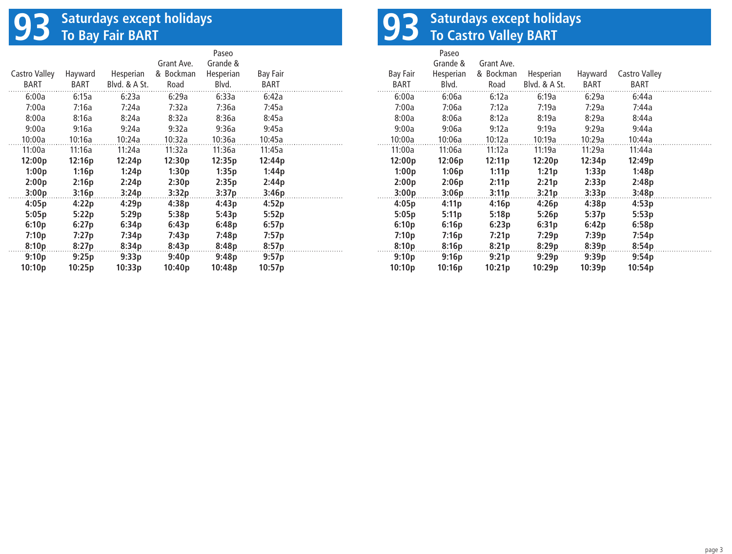## **93 Saturdays except holidays To Bay Fair BART**

|               |         |               |            | Paseo     |                 |  |
|---------------|---------|---------------|------------|-----------|-----------------|--|
|               |         |               | Grant Ave. | Grande &  |                 |  |
| Castro Valley | Hayward | Hesperian     | & Bockman  | Hesperian | <b>Bay Fair</b> |  |
| BART          | BART    | Blyd. & A St. | Road       | Blvd.     | BART            |  |
| 6:00a         | 6:15a   | 6:23a         | 6:29a      | 6:33a     | 6:42a           |  |
| 7:00a         | 7:16a   | 7:24a         | 7:32a      | 7:36a     | 7:45a           |  |
| 8:00a         | 8:16a   | 8:24a         | 8:32a      | 8:36a     | 8:45a           |  |
| 9:00a         | 9:16a   | 9:24a         | 9:32a      | 9:36a     | 9:45a           |  |
| 10:00a        | 10:16a  | 10:24a        | 10:32a     | 10:36a    | 10:45a          |  |
| 11:00a        | 11:16a  | 11:24a        | 11:32a     | 11:36a    | 11:45a          |  |
| 12:00p        | 12:16p  | 12:24p        | 12:30p     | 12:35p    | 12:44p          |  |
| 1:00p         | 1:16p   | 1:24p         | 1:30p      | 1:35p     | 1:44p           |  |
| 2:00p         | 2:16p   | 2:24p         | 2:30p      | 2:35p     | 2:44p           |  |
| 3:00p         | 3:16p   | 3:24p         | 3:32p      | 3:37p     | 3:46p           |  |
| 4:05p         | 4:22p   | 4:29p         | 4:38p      | 4:43p     | 4:52p           |  |
| 5:05p         | 5:22p   | 5:29p         | 5:38p      | 5:43p     | 5:52p           |  |
| 6:10p         | 6:27p   | 6:34p         | 6:43p      | 6:48p     | 6:57p           |  |
| 7:10p         | 7:27p   | 7:34p         | 7:43p      | 7:48p     | 7:57p           |  |
| 8:10p         | 8:27p   | 8:34p         | 8:43p      | 8:48p     | 8:57p           |  |
| 9:10p         | 9:25p   | 9:33p         | 9:40p      | 9:48p     | 9:57p           |  |
| 10:10p        | 10:25p  | 10:33p        | 10:40p     | 10:48p    | 10:57p          |  |

# **93 Saturdays except holidays To Castro Valley BART**

| Bay Fair<br>BART | Paseo<br>Grande &<br>Hesperian<br>Blvd. | Grant Ave.<br>& Bockman<br>Road | Hesperian<br>Blvd. & A St. | Hayward<br>BART | Castro Valley<br>BART |
|------------------|-----------------------------------------|---------------------------------|----------------------------|-----------------|-----------------------|
| 6:00a            | 6:06a                                   | 6:12a                           | 6:19a                      | 6:29a           | 6:44a                 |
| 7:00a            | 7:06a                                   | 7:12a                           | 7:19a                      | 7:29a           | 7:44a                 |
| 8:00a            | 8:06a                                   | 8:12a                           | 8:19a                      | 8:29a           | 8:44a                 |
| 9:00a            | 9:06a                                   | 9:12a                           | 9:19a                      | 9:29a           | 9:44a                 |
| 10:00a           | 10:06a                                  | 10:12a                          | 10:19a                     | 10:29a          | 10:44a                |
| 11:00a           | 11:06a                                  | 11:12a                          | 11:19a                     | 11:29a          | 11:44a                |
| 12:00p           | 12:06p                                  | 12:11p                          | 12:20p                     | 12:34p          | 12:49p                |
| 1:00p            | 1:06p                                   | 1:11p                           | 1:21p                      | 1:33p           | 1:48p                 |
| 2:00p            | 2:06p                                   | 2:11p                           | 2:21p                      | 2:33p           | 2:48p                 |
| 3:00p            | 3:06p                                   | 3:11p                           | 3:21p                      | 3:33p           | 3:48p                 |
| 4:05p            | 4:11p                                   | 4:16p                           | 4:26p                      | 4:38p           | 4:53p                 |
| 5:05p            | 5:11p                                   | 5:18p                           | 5:26p                      | 5:37p           | 5:53p                 |
| 6:10p            | 6:16p                                   | 6:23p                           | 6:31p                      | 6:42p           | 6:58p                 |
| 7:10p            | 7:16p                                   | 7:21p                           | 7:29p                      | 7:39p           | 7:54p                 |
| 8:10p            | 8:16p                                   | 8:21p                           | 8:29p                      | 8:39p           | 8:54p                 |
| 9:10p            | 9:16p                                   | 9:21p                           | 9:29p                      | 9:39p           | 9:54p                 |
| 10:10p           | 10:16p                                  | 10:21p                          | 10:29p                     | 10:39p          | 10:54p                |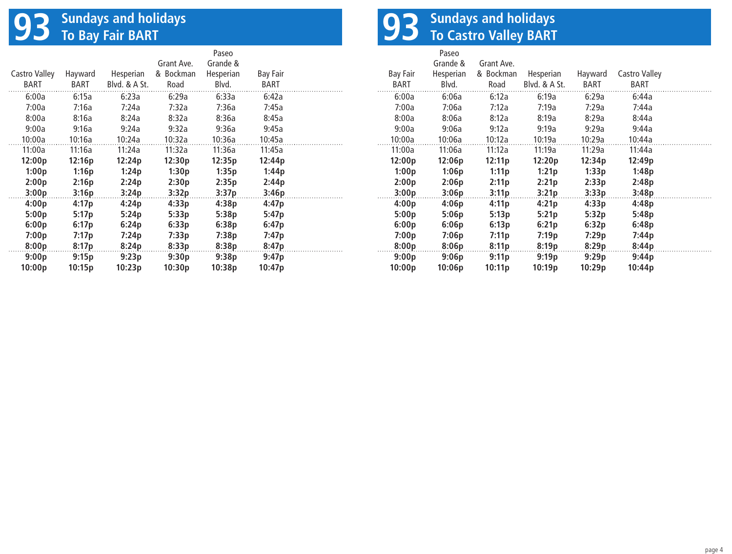# **93** Sundays and holidays<br> **93** To Bay Fair BART

|               |         |               |            | Paseo     |                 |
|---------------|---------|---------------|------------|-----------|-----------------|
|               |         |               | Grant Ave. | Grande &  |                 |
| Castro Valley | Hayward | Hesperian     | & Bockman  | Hesperian | <b>Bay Fair</b> |
| BART          | BART    | Blyd. & A St. | Road       | Blvd.     | BART            |
| 6:00a         | 6:15a   | 6:23a         | 6:29a      | 6:33a     | 6:42a           |
| 7:00a         | 7:16a   | 7:24a         | 7:32a      | 7:36a     | 7:45a           |
| 8:00a         | 8:16a   | 8:24a         | 8:32a      | 8:36a     | 8:45a           |
| 9:00a         | 9:16a   | 9:24a         | 9:32a      | 9:36a     | 9:45a           |
| 10:00a        | 10:16a  | 10:24a        | 10:32a     | 10:36a    | 10:45a          |
| 11:00a        | 11:16a  | 11:24a        | 11:32a     | 11:36a    | 11:45a          |
| 12:00p        | 12:16p  | 12:24p        | 12:30p     | 12:35p    | 12:44p          |
| 1:00p         | 1:16p   | 1:24p         | 1:30p      | 1:35p     | 1:44p           |
| 2:00p         | 2:16p   | 2:24p         | 2:30p      | 2:35p     | 2:44p           |
| 3:00p         | 3:16p   | 3:24p         | 3:32p      | 3:37p     | 3:46p           |
| 4:00p         | 4:17p   | 4:24p         | 4:33p      | 4:38p     | 4:47p           |
| 5:00p         | 5:17p   | 5:24p         | 5:33p      | 5:38p     | 5:47p           |
| 6:00p         | 6:17p   | 6:24p         | 6:33p      | 6:38p     | 6:47p           |
| 7:00p         | 7:17p   | 7:24p         | 7:33p      | 7:38p     | 7:47p           |
| 8:00p         | 8:17p   | 8:24p         | 8:33p      | 8:38p     | 8:47p           |
| 9:00p         | 9:15p   | 9:23p         | 9:30p      | 9:38p     | 9:47p           |
| 10:00p        | 10:15p  | 10:23p        | 10:30p     | 10:38p    | 10:47p          |

# **93 Sundays and holidays To Castro Valley BART**

| Bay Fair<br>BART | Paseo<br>Grande &<br>Hesperian<br>Blvd. | Grant Ave.<br>& Bockman<br>Road | Hesperian<br>Blyd. & A St. | Hayward<br>BART | Castro Valley<br><b>BART</b> |
|------------------|-----------------------------------------|---------------------------------|----------------------------|-----------------|------------------------------|
| 6:00a            | 6:06a                                   | 6:12a                           | 6:19a                      | 6:29a           | 6:44a                        |
| 7:00a            | 7:06a                                   | 7:12a                           | 7:19a                      | 7:29a           | 7:44a                        |
| 8:00a            | 8:06a                                   | 8:12a                           | 8:19a                      | 8:29a           | 8:44a                        |
| 9:00a            | 9:06a                                   | 9:12a                           | 9:19a                      | 9:29a           | 9:44a                        |
| 10:00a           | 10:06a                                  | 10:12a                          | 10:19a                     | 10:29a          | 10:44a                       |
| 11:00a           | 11:06a                                  | 11:12a                          | 11:19a                     | 11:29a          | 11:44a                       |
| 12:00p           | 12:06p                                  | 12:11p                          | 12:20p                     | 12:34p          | 12:49p                       |
| 1:00p            | 1:06p                                   | 1:11p                           | 1:21p                      | 1:33p           | 1:48p                        |
| 2:00p            | 2:06p                                   | 2:11p                           | 2:21p                      | 2:33p           | 2:48p                        |
| 3:00p            | 3:06p                                   | 3:11p                           | 3:21p                      | 3:33p           | 3:48p                        |
| 4:00p            | 4:06p                                   | 4:11p                           | 4:21p                      | 4:33p           | 4:48p                        |
| 5:00p            | 5:06p                                   | 5:13p                           | 5:21p                      | 5:32p           | 5:48p                        |
| 6:00p            | 6:06p                                   | 6:13p                           | 6:21p                      | 6:32p           | 6:48p                        |
| 7:00p            | 7:06p                                   | 7:11p                           | 7:19 <sub>p</sub>          | 7:29p           | 7:44p                        |
| 8:00p            | 8:06p                                   | 8:11p                           | 8:19p                      | 8:29p           | 8:44p                        |
| 9:00p            | 9:06p                                   | 9:11p                           | 9:19p                      | 9:29p           | 9:44p                        |
| 10:00p           | 10:06p                                  | 10:11p                          | 10:19p                     | 10:29p          | 10:44p                       |